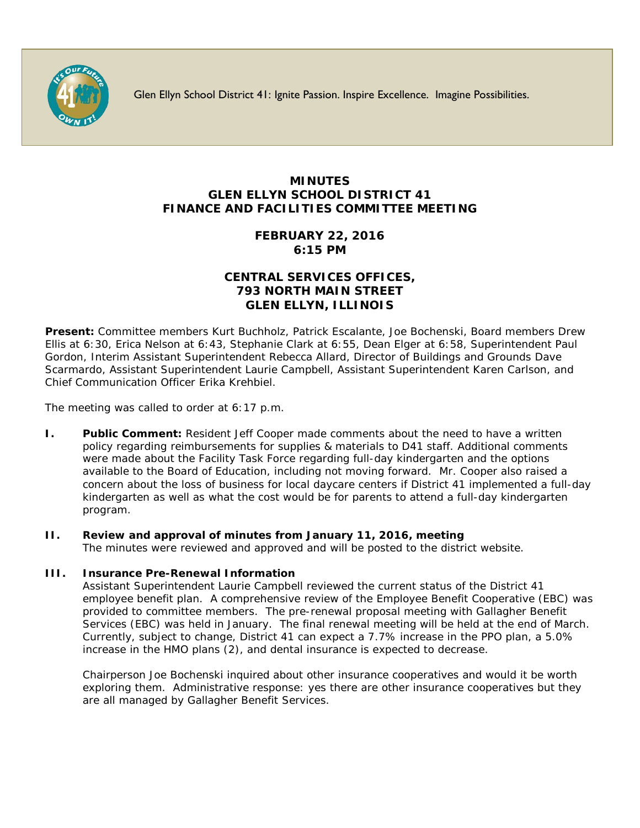

Glen Ellyn School District 41: Ignite Passion. Inspire Excellence. Imagine Possibilities.

# **MINUTES GLEN ELLYN SCHOOL DISTRICT 41 FINANCE AND FACILITIES COMMITTEE MEETING**

## **FEBRUARY 22, 2016 6:15 PM**

## **CENTRAL SERVICES OFFICES, 793 NORTH MAIN STREET GLEN ELLYN, ILLINOIS**

**Present:** Committee members Kurt Buchholz, Patrick Escalante, Joe Bochenski, Board members Drew Ellis at 6:30, Erica Nelson at 6:43, Stephanie Clark at 6:55, Dean Elger at 6:58, Superintendent Paul Gordon, Interim Assistant Superintendent Rebecca Allard, Director of Buildings and Grounds Dave Scarmardo, Assistant Superintendent Laurie Campbell, Assistant Superintendent Karen Carlson, and Chief Communication Officer [Erika Krehbiel.](http://www.d41.org/contact_email.asp?id=ekrehbiel&n=Erika_Krehbiel)

The meeting was called to order at 6:17 p.m.

**I. Public Comment:** Resident Jeff Cooper made comments about the need to have a written policy regarding reimbursements for supplies & materials to D41 staff. Additional comments were made about the Facility Task Force regarding full-day kindergarten and the options available to the Board of Education, including not moving forward. Mr. Cooper also raised a concern about the loss of business for local daycare centers if District 41 implemented a full-day kindergarten as well as what the cost would be for parents to attend a full-day kindergarten program.

# **II. Review and approval of minutes from January 11, 2016, meeting**

The minutes were reviewed and approved and will be posted to the district website.

#### **III. Insurance Pre-Renewal Information**

Assistant Superintendent Laurie Campbell reviewed the current status of the District 41 employee benefit plan. A comprehensive review of the Employee Benefit Cooperative (EBC) was provided to committee members. The pre-renewal proposal meeting with Gallagher Benefit Services (EBC) was held in January. The final renewal meeting will be held at the end of March. Currently, subject to change, District 41 can expect a 7.7% increase in the PPO plan, a 5.0% increase in the HMO plans (2), and dental insurance is expected to decrease.

Chairperson Joe Bochenski inquired about other insurance cooperatives and would it be worth exploring them. Administrative response: yes there are other insurance cooperatives but they are all managed by Gallagher Benefit Services.